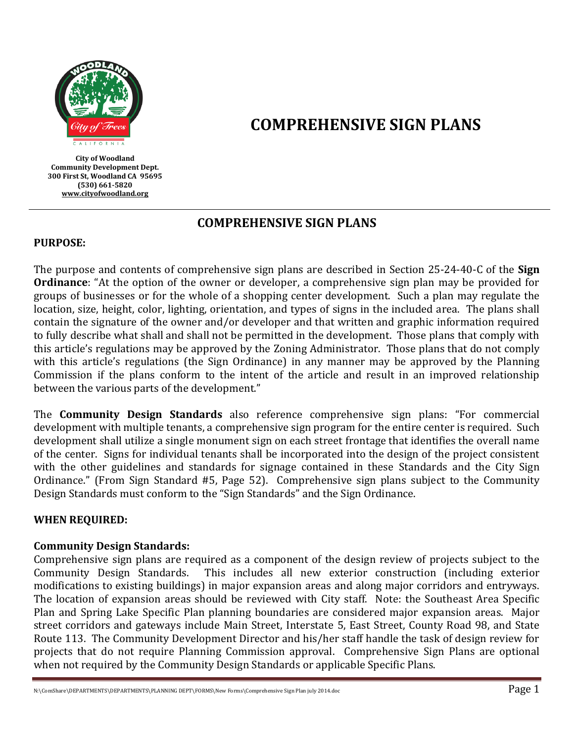

**City of Woodland Community Development Dept. 300 First St, Woodland CA 95695 (530) 661-5820 [www.cityofwoodland.org](http://www.cityofwoodland.org/)**

# **COMPREHENSIVE SIGN PLANS**

## **COMPREHENSIVE SIGN PLANS**

### **PURPOSE:**

The purpose and contents of comprehensive sign plans are described in Section 25-24-40-C of the **Sign Ordinance**: "At the option of the owner or developer, a comprehensive sign plan may be provided for groups of businesses or for the whole of a shopping center development. Such a plan may regulate the location, size, height, color, lighting, orientation, and types of signs in the included area. The plans shall contain the signature of the owner and/or developer and that written and graphic information required to fully describe what shall and shall not be permitted in the development. Those plans that comply with this article's regulations may be approved by the Zoning Administrator. Those plans that do not comply with this article's regulations (the Sign Ordinance) in any manner may be approved by the Planning Commission if the plans conform to the intent of the article and result in an improved relationship between the various parts of the development."

The **Community Design Standards** also reference comprehensive sign plans: "For commercial development with multiple tenants, a comprehensive sign program for the entire center is required. Such development shall utilize a single monument sign on each street frontage that identifies the overall name of the center. Signs for individual tenants shall be incorporated into the design of the project consistent with the other guidelines and standards for signage contained in these Standards and the City Sign Ordinance." (From Sign Standard #5, Page 52). Comprehensive sign plans subject to the Community Design Standards must conform to the "Sign Standards" and the Sign Ordinance.

### **WHEN REQUIRED:**

### **Community Design Standards:**

Comprehensive sign plans are required as a component of the design review of projects subject to the Community Design Standards. This includes all new exterior construction (including exterior modifications to existing buildings) in major expansion areas and along major corridors and entryways. The location of expansion areas should be reviewed with City staff. Note: the Southeast Area Specific Plan and Spring Lake Specific Plan planning boundaries are considered major expansion areas. Major street corridors and gateways include Main Street, Interstate 5, East Street, County Road 98, and State Route 113. The Community Development Director and his/her staff handle the task of design review for projects that do not require Planning Commission approval. Comprehensive Sign Plans are optional when not required by the Community Design Standards or applicable Specific Plans.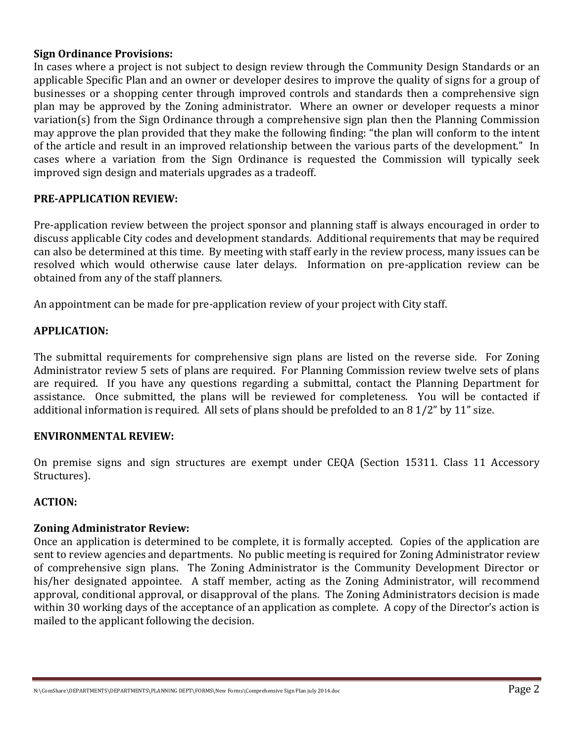### **Sign Ordinance Provisions:**

In cases where a project is not subject to design review through the Community Design Standards or an applicable Specific Plan and an owner or developer desires to improve the quality of signs for a group of businesses or a shopping center through improved controls and standards then a comprehensive sign plan may be approved by the Zoning administrator. Where an owner or developer requests a minor variation(s) from the Sign Ordinance through a comprehensive sign plan then the Planning Commission may approve the plan provided that they make the following finding: "the plan will conform to the intent of the article and result in an improved relationship between the various parts of the development." In cases where a variation from the Sign Ordinance is requested the Commission will typically seek improved sign design and materials upgrades as a tradeoff.

### **PRE-APPLICATION REVIEW:**

Pre-application review between the project sponsor and planning staff is always encouraged in order to discuss applicable City codes and development standards. Additional requirements that may be required can also be determined at this time. By meeting with staff early in the review process, many issues can be resolved which would otherwise cause later delays. Information on pre-application review can be obtained from any of the staff planners.

An appointment can be made for pre-application review of your project with City staff.

### **APPLICATION:**

The submittal requirements for comprehensive sign plans are listed on the reverse side. For Zoning Administrator review 5 sets of plans are required. For Planning Commission review twelve sets of plans are required. If you have any questions regarding a submittal, contact the Planning Department for assistance. Once submitted, the plans will be reviewed for completeness. You will be contacted if additional information is required. All sets of plans should be prefolded to an 8 1/2" by 11" size.

### **ENVIRONMENTAL REVIEW:**

On premise signs and sign structures are exempt under CEQA (Section 15311. Class 11 Accessory Structures).

### **ACTION:**

### **Zoning Administrator Review:**

Once an application is determined to be complete, it is formally accepted. Copies of the application are sent to review agencies and departments. No public meeting is required for Zoning Administrator review of comprehensive sign plans. The Zoning Administrator is the Community Development Director or his/her designated appointee. A staff member, acting as the Zoning Administrator, will recommend approval, conditional approval, or disapproval of the plans. The Zoning Administrators decision is made within 30 working days of the acceptance of an application as complete. A copy of the Director's action is mailed to the applicant following the decision.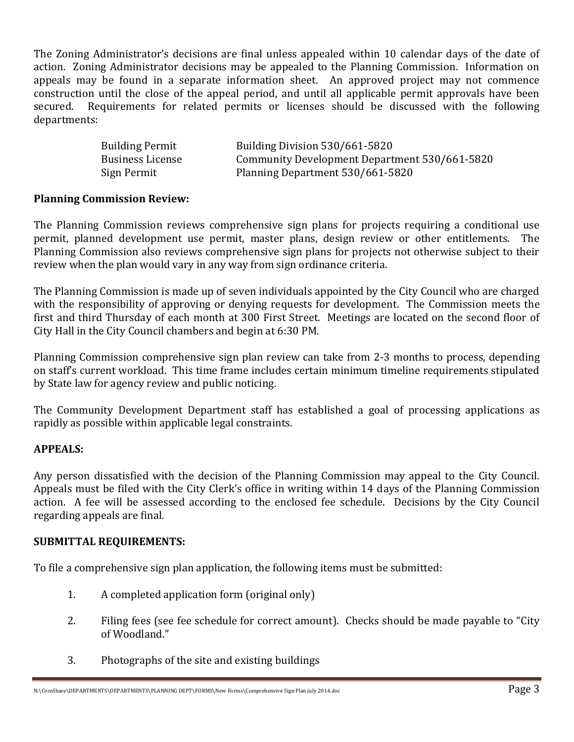The Zoning Administrator's decisions are final unless appealed within 10 calendar days of the date of action. Zoning Administrator decisions may be appealed to the Planning Commission. Information on appeals may be found in a separate information sheet. An approved project may not commence construction until the close of the appeal period, and until all applicable permit approvals have been secured. Requirements for related permits or licenses should be discussed with the following departments:

| <b>Building Permit</b>  | Building Division 530/661-5820                |
|-------------------------|-----------------------------------------------|
| <b>Business License</b> | Community Development Department 530/661-5820 |
| Sign Permit             | Planning Department 530/661-5820              |

### **Planning Commission Review:**

The Planning Commission reviews comprehensive sign plans for projects requiring a conditional use permit, planned development use permit, master plans, design review or other entitlements. The Planning Commission also reviews comprehensive sign plans for projects not otherwise subject to their review when the plan would vary in any way from sign ordinance criteria.

The Planning Commission is made up of seven individuals appointed by the City Council who are charged with the responsibility of approving or denying requests for development. The Commission meets the first and third Thursday of each month at 300 First Street. Meetings are located on the second floor of City Hall in the City Council chambers and begin at 6:30 PM.

Planning Commission comprehensive sign plan review can take from 2-3 months to process, depending on staff's current workload. This time frame includes certain minimum timeline requirements stipulated by State law for agency review and public noticing.

The Community Development Department staff has established a goal of processing applications as rapidly as possible within applicable legal constraints.

### **APPEALS:**

Any person dissatisfied with the decision of the Planning Commission may appeal to the City Council. Appeals must be filed with the City Clerk's office in writing within 14 days of the Planning Commission action. A fee will be assessed according to the enclosed fee schedule. Decisions by the City Council regarding appeals are final.

### **SUBMITTAL REQUIREMENTS:**

To file a comprehensive sign plan application, the following items must be submitted:

- 1. A completed application form (original only)
- 2. Filing fees (see fee schedule for correct amount). Checks should be made payable to "City of Woodland."
- 3. Photographs of the site and existing buildings